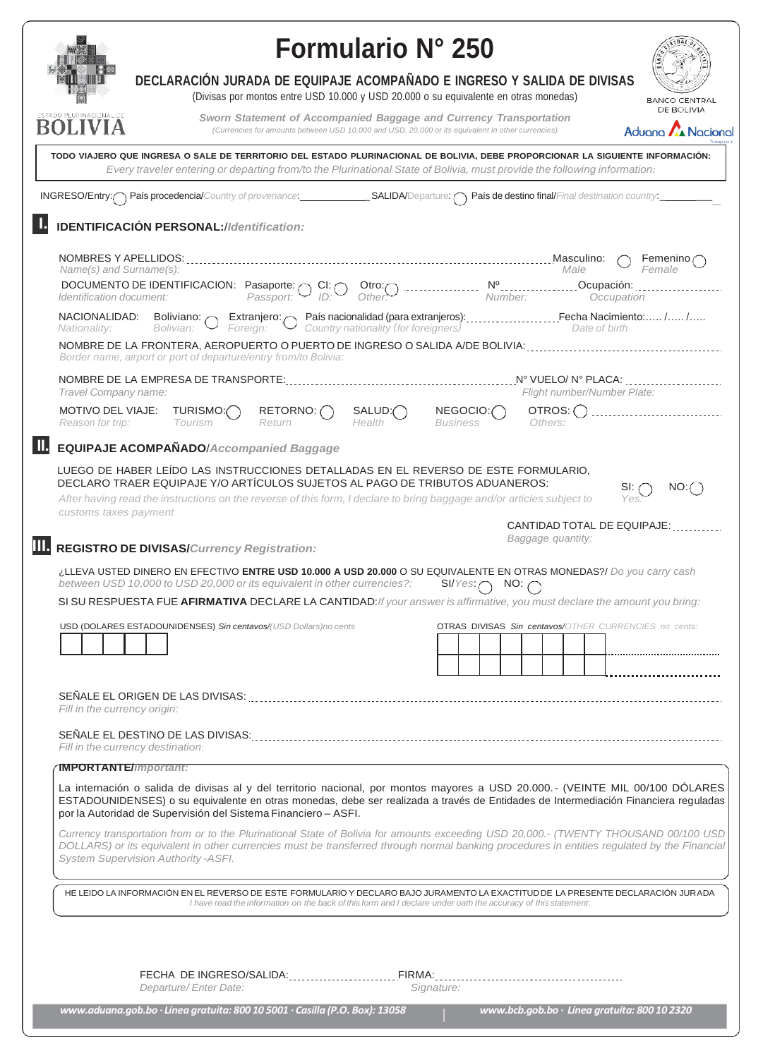|                                                                                                                                                                                                                                                            | <b>Formulario N° 250</b>                                                                                                                                                                              |                                                                                                                                                                         |                                      |                             |                                                                                            |                                                                                                                                                                                                                                                                                     |
|------------------------------------------------------------------------------------------------------------------------------------------------------------------------------------------------------------------------------------------------------------|-------------------------------------------------------------------------------------------------------------------------------------------------------------------------------------------------------|-------------------------------------------------------------------------------------------------------------------------------------------------------------------------|--------------------------------------|-----------------------------|--------------------------------------------------------------------------------------------|-------------------------------------------------------------------------------------------------------------------------------------------------------------------------------------------------------------------------------------------------------------------------------------|
|                                                                                                                                                                                                                                                            | DECLARACIÓN JURADA DE EQUIPAJE ACOMPAÑADO E INGRESO Y SALIDA DE DIVISAS                                                                                                                               | (Divisas por montos entre USD 10.000 y USD 20.000 o su equivalente en otras monedas)                                                                                    |                                      |                             |                                                                                            | <b>BANCO CENTRAL</b><br>DE BOLIVIA                                                                                                                                                                                                                                                  |
| ESTADO PLURINACIONAL DE                                                                                                                                                                                                                                    |                                                                                                                                                                                                       | Sworn Statement of Accompanied Baggage and Currency Transportation<br>(Currencies for amounts between USD 10,000 and USD. 20,000 or its equivalent in other currencies) |                                      |                             |                                                                                            | <b>A</b> Nacional<br>Aduono                                                                                                                                                                                                                                                         |
| TODO VIAJERO QUE INGRESA O SALE DE TERRITORIO DEL ESTADO PLURINACIONAL DE BOLIVIA, DEBE PROPORCIONAR LA SIGUIENTE INFORMACIÓN:<br>Every traveler entering or departing from/to the Plurinational State of Bolivia, must provide the following information: |                                                                                                                                                                                                       |                                                                                                                                                                         |                                      |                             |                                                                                            |                                                                                                                                                                                                                                                                                     |
| INGRESO/Entry: País procedencia/Country of provenance:<br>SALIDA/Departure:  país de destino final/Final destination country:                                                                                                                              |                                                                                                                                                                                                       |                                                                                                                                                                         |                                      |                             |                                                                                            |                                                                                                                                                                                                                                                                                     |
|                                                                                                                                                                                                                                                            | <b>IDENTIFICACIÓN PERSONAL://dentification:</b>                                                                                                                                                       |                                                                                                                                                                         |                                      |                             |                                                                                            |                                                                                                                                                                                                                                                                                     |
|                                                                                                                                                                                                                                                            |                                                                                                                                                                                                       |                                                                                                                                                                         |                                      |                             |                                                                                            | Femenino                                                                                                                                                                                                                                                                            |
| Name(s) and Surname(s):<br>Identification document:                                                                                                                                                                                                        | DOCUMENTO DE IDENTIFICACION: Pasaporte:                                                                                                                                                               | $\setminus$ CI: $\subset$<br>Passport:                                                                                                                                  | Otro:<br>Other                       |                             | Male                                                                                       | Female<br>Occupation                                                                                                                                                                                                                                                                |
| NACIONALIDAD:<br>Nationality:                                                                                                                                                                                                                              | Boliviano: $\sim$<br>Bolivian:                                                                                                                                                                        | Foreign:                                                                                                                                                                | Country nationality (for foreigners) |                             | Extranjero: País nacionalidad (para extranjeros): Fecha Nacimiento:  /  /<br>Date of birth |                                                                                                                                                                                                                                                                                     |
|                                                                                                                                                                                                                                                            | NOMBRE DE LA FRONTERA, AEROPUERTO O PUERTO DE INGRESO O SALIDA A/DE BOLIVIA:<br>Border name, airport or port of departure/entry from/to Bolivia:                                                      |                                                                                                                                                                         |                                      |                             |                                                                                            |                                                                                                                                                                                                                                                                                     |
| Travel Company name:                                                                                                                                                                                                                                       |                                                                                                                                                                                                       |                                                                                                                                                                         |                                      |                             | Flight number/Number Plate:                                                                |                                                                                                                                                                                                                                                                                     |
| <b>MOTIVO DEL VIAJE:</b><br>Reason for trip:                                                                                                                                                                                                               | TURISMO:()<br>Tourism                                                                                                                                                                                 | RETORNO: ()<br>Return                                                                                                                                                   | SALUD:<br>Health                     | NEGOCIO:<br><b>Business</b> | OTROS: ()<br>Others:                                                                       |                                                                                                                                                                                                                                                                                     |
|                                                                                                                                                                                                                                                            | <b>EQUIPAJE ACOMPAÑADO/Accompanied Baggage</b>                                                                                                                                                        |                                                                                                                                                                         |                                      |                             |                                                                                            |                                                                                                                                                                                                                                                                                     |
|                                                                                                                                                                                                                                                            | LUEGO DE HABER LEÍDO LAS INSTRUCCIONES DETALLADAS EN EL REVERSO DE ESTE FORMULARIO,<br>DECLARO TRAER EQUIPAJE Y/O ARTÍCULOS SUJETOS AL PAGO DE TRIBUTOS ADUANEROS:                                    |                                                                                                                                                                         |                                      |                             |                                                                                            | NO:                                                                                                                                                                                                                                                                                 |
| customs taxes payment                                                                                                                                                                                                                                      | After having read the instructions on the reverse of this form, I declare to bring baggage and/or articles subject to                                                                                 |                                                                                                                                                                         |                                      |                             |                                                                                            | SI: 7<br>Yes                                                                                                                                                                                                                                                                        |
|                                                                                                                                                                                                                                                            | <b>REGISTRO DE DIVISAS/Currency Registration:</b>                                                                                                                                                     |                                                                                                                                                                         |                                      |                             | CANTIDAD TOTAL DE EQUIPAJE:<br>Baggage quantity:                                           |                                                                                                                                                                                                                                                                                     |
|                                                                                                                                                                                                                                                            | ¿LLEVA USTED DINERO EN EFECTIVO ENTRE USD 10.000 A USD 20.000 O SU EQUIVALENTE EN OTRAS MONEDAS?/ Do you carry cash                                                                                   |                                                                                                                                                                         |                                      |                             |                                                                                            |                                                                                                                                                                                                                                                                                     |
|                                                                                                                                                                                                                                                            | between USD 10,000 to USD 20,000 or its equivalent in other currencies?:<br>SI SU RESPUESTA FUE AFIRMATIVA DECLARE LA CANTIDAD: If your answer is affirmative, you must declare the amount you bring: |                                                                                                                                                                         |                                      | $SI/Yes: \frown$            | $NO: \cap$                                                                                 |                                                                                                                                                                                                                                                                                     |
|                                                                                                                                                                                                                                                            | USD (DOLARES ESTADOUNIDENSES) Sin centavos/(USD Dollars)no cents                                                                                                                                      |                                                                                                                                                                         |                                      |                             | OTRAS DIVISAS Sin centavos/OTHER CURRENCIES no cents:                                      |                                                                                                                                                                                                                                                                                     |
|                                                                                                                                                                                                                                                            |                                                                                                                                                                                                       |                                                                                                                                                                         |                                      |                             |                                                                                            |                                                                                                                                                                                                                                                                                     |
| Fill in the currency origin:                                                                                                                                                                                                                               |                                                                                                                                                                                                       |                                                                                                                                                                         |                                      |                             |                                                                                            |                                                                                                                                                                                                                                                                                     |
|                                                                                                                                                                                                                                                            | Fill in the currency destination:                                                                                                                                                                     |                                                                                                                                                                         |                                      |                             |                                                                                            |                                                                                                                                                                                                                                                                                     |
| <b>IMPORTANTE/Important:</b>                                                                                                                                                                                                                               |                                                                                                                                                                                                       |                                                                                                                                                                         |                                      |                             |                                                                                            |                                                                                                                                                                                                                                                                                     |
|                                                                                                                                                                                                                                                            | por la Autoridad de Supervisión del Sistema Financiero - ASFI.                                                                                                                                        |                                                                                                                                                                         |                                      |                             |                                                                                            | La internación o salida de divisas al y del territorio nacional, por montos mayores a USD 20.000.- (VEINTE MIL 00/100 DOLARES<br>ESTADOUNIDENSES) o su equivalente en otras monedas, debe ser realizada a través de Entidades de Intermediación Financiera reguladas                |
|                                                                                                                                                                                                                                                            | <b>System Supervision Authority -ASFI.</b>                                                                                                                                                            |                                                                                                                                                                         |                                      |                             |                                                                                            | Currency transportation from or to the Plurinational State of Bolivia for amounts exceeding USD 20,000.- (TWENTY THOUSAND 00/100 USD<br>DOLLARS) or its equivalent in other currencies must be transferred through normal banking procedures in entities regulated by the Financial |
|                                                                                                                                                                                                                                                            |                                                                                                                                                                                                       | I have read the information on the back of this form and I declare under oath the accuracy of this statement:                                                           |                                      |                             |                                                                                            | HE LEIDO LA INFORMACIÓN EN EL REVERSO DE ESTE FORMULARIO Y DECLARO BAJO JURAMENTO LA EXACTITUD DE LA PRESENTE DECLARACIÓN JURADA                                                                                                                                                    |
|                                                                                                                                                                                                                                                            |                                                                                                                                                                                                       |                                                                                                                                                                         |                                      |                             |                                                                                            |                                                                                                                                                                                                                                                                                     |
|                                                                                                                                                                                                                                                            | Departure/Enter Date:                                                                                                                                                                                 |                                                                                                                                                                         |                                      | Signature:                  |                                                                                            |                                                                                                                                                                                                                                                                                     |
|                                                                                                                                                                                                                                                            | www.aduana.gob.bo · Línea gratuita: 800 10 5001 · Casilla (P.O. Box): 13058                                                                                                                           |                                                                                                                                                                         |                                      |                             | www.bcb.gob.bo · Línea gratuita: 800 10 2320                                               |                                                                                                                                                                                                                                                                                     |